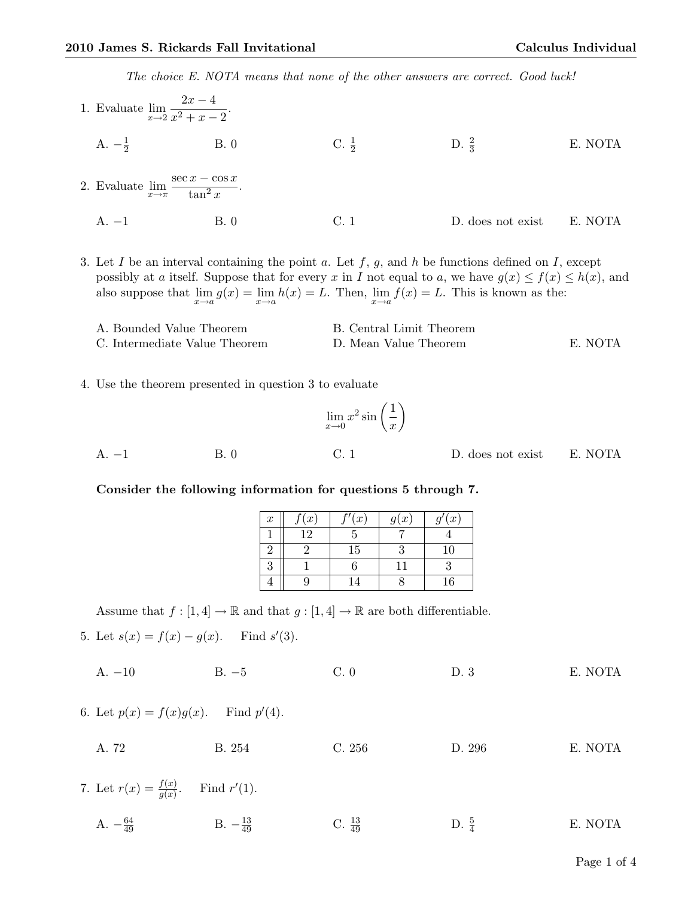The choice E. NOTA means that none of the other answers are correct. Good luck!

- 1. Evaluate  $\lim_{x\to 2}$  $2x - 4$  $\frac{2x}{x^2+x-2}$ . A.  $-\frac{1}{2}$  $\frac{1}{2}$  B. 0 C.  $\frac{1}{2}$  $\frac{1}{2}$  D.  $\frac{2}{3}$ E. NOTA 2. Evaluate  $\lim_{x \to \pi} \frac{\sec x - \cos x}{\tan^2 x}$  $\frac{x}{\tan^2 x}$ . A. −1 B. 0 C. 1 D. does not exist E. NOTA
- 3. Let I be an interval containing the point a. Let  $f, g$ , and h be functions defined on I, except possibly at a itself. Suppose that for every x in I not equal to a, we have  $g(x) \le f(x) \le h(x)$ , and also suppose that  $\lim_{x\to a} g(x) = \lim_{x\to a} h(x) = L$ . Then,  $\lim_{x\to a} f(x) = L$ . This is known as the:

| A. Bounded Value Theorem      | B. Central Limit Theorem |         |
|-------------------------------|--------------------------|---------|
| C. Intermediate Value Theorem | D. Mean Value Theorem    | E. NOTA |

4. Use the theorem presented in question 3 to evaluate

$$
\lim_{x \to 0} x^2 \sin\left(\frac{1}{x}\right)
$$

A. −1 B. 0 C. 1 D. does not exist E. NOTA

Consider the following information for questions 5 through 7.

| $\boldsymbol{x}$ | $\sqrt[e]{x}$ | $e\overline{f(x)}$ | g(x) | $^{\prime}(x)$ |
|------------------|---------------|--------------------|------|----------------|
|                  |               |                    |      |                |
|                  |               | 15                 |      |                |
|                  |               |                    |      |                |
|                  |               |                    |      | 16             |

Assume that  $f : [1, 4] \to \mathbb{R}$  and that  $g : [1, 4] \to \mathbb{R}$  are both differentiable.

5. Let  $s(x) = f(x) - g(x)$ . Find  $s'(3)$ .

A. −10 B. −5 C. 0 D. 3 E. NOTA

6. Let  $p(x) = f(x)g(x)$ . Find  $p'(4)$ .

A. 72 B. 254 C. 256 D. 296 E. NOTA

7. Let 
$$
r(x) = \frac{f(x)}{g(x)}
$$
. Find  $r'(1)$ .  
\nA.  $-\frac{64}{49}$  \t B.  $-\frac{13}{49}$  \t C.  $\frac{13}{49}$  \t D.  $\frac{5}{4}$  \t E. NOTA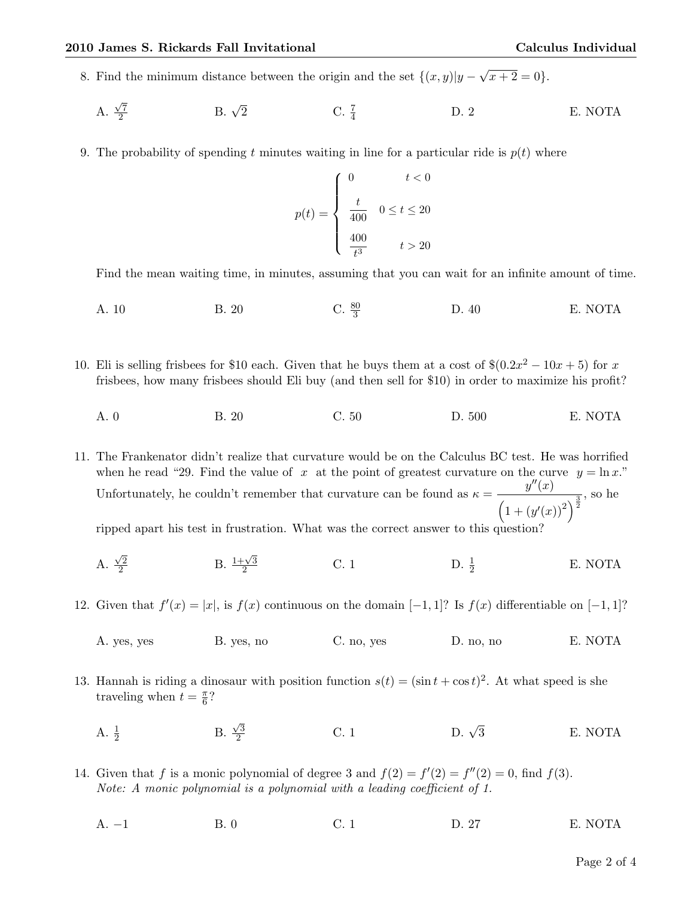8. Find the minimum distance between the origin and the set  $\{(x, y)|y -$ √  $\overline{x+2} = 0$ .

- A.  $\sqrt{7}$ B.  $\sqrt{2}$ C.  $\frac{7}{4}$ D. 2 E. NOTA
- 9. The probability of spending t minutes waiting in line for a particular ride is  $p(t)$  where

$$
p(t) = \begin{cases} 0 & t < 0 \\ \frac{t}{400} & 0 \le t \le 20 \\ \frac{400}{t^3} & t > 20 \end{cases}
$$

Find the mean waiting time, in minutes, assuming that you can wait for an infinite amount of time.

- A. 10 B. 20 C.  $\frac{80}{3}$ D. 40 E. NOTA
- 10. Eli is selling frisbees for \$10 each. Given that he buys them at a cost of  $\$(0.2x^2 10x + 5)$  for x frisbees, how many frisbees should Eli buy (and then sell for \$10) in order to maximize his profit?
	- A. 0 B. 20 C. 50 D. 500 E. NOTA

11. The Frankenator didn't realize that curvature would be on the Calculus BC test. He was horrified when he read "29. Find the value of x at the point of greatest curvature on the curve  $y = \ln x$ ." Unfortunately, he couldn't remember that curvature can be found as  $\kappa = \frac{y''(x)}{x}$  $\frac{y(x)}{(1 + (y'(x))^2)^{\frac{3}{2}}},$  so he

ripped apart his test in frustration. What was the correct answer to this question?

A.  $\sqrt{2}$  $\frac{\sqrt{2}}{2}$  B.  $\frac{1+\sqrt{3}}{2}$  $\frac{\sqrt{3}}{2}$  C. 1 D.  $\frac{1}{2}$ D.  $\frac{1}{2}$ E. NOTA

12. Given that  $f'(x) = |x|$ , is  $f(x)$  continuous on the domain  $[-1, 1]$ ? Is  $f(x)$  differentiable on  $[-1, 1]$ ?

A. yes, yes B. yes, no C. no, yes D. no, no E. NOTA

13. Hannah is riding a dinosaur with position function  $s(t) = (\sin t + \cos t)^2$ . At what speed is she traveling when  $t = \frac{\pi}{6}$  $\frac{\pi}{6}$ ?

A.  $\frac{1}{2}$  $\frac{1}{2}$  B.  $\sqrt{3}$  $\frac{\sqrt{3}}{2}$  C. 1 D.  $\sqrt{ }$ D.  $\sqrt{3}$  E. NOTA

14. Given that f is a monic polynomial of degree 3 and  $f(2) = f'(2) = f''(2) = 0$ , find  $f(3)$ . Note: A monic polynomial is a polynomial with a leading coefficient of 1.

A. −1 B. 0 C. 1 D. 27 E. NOTA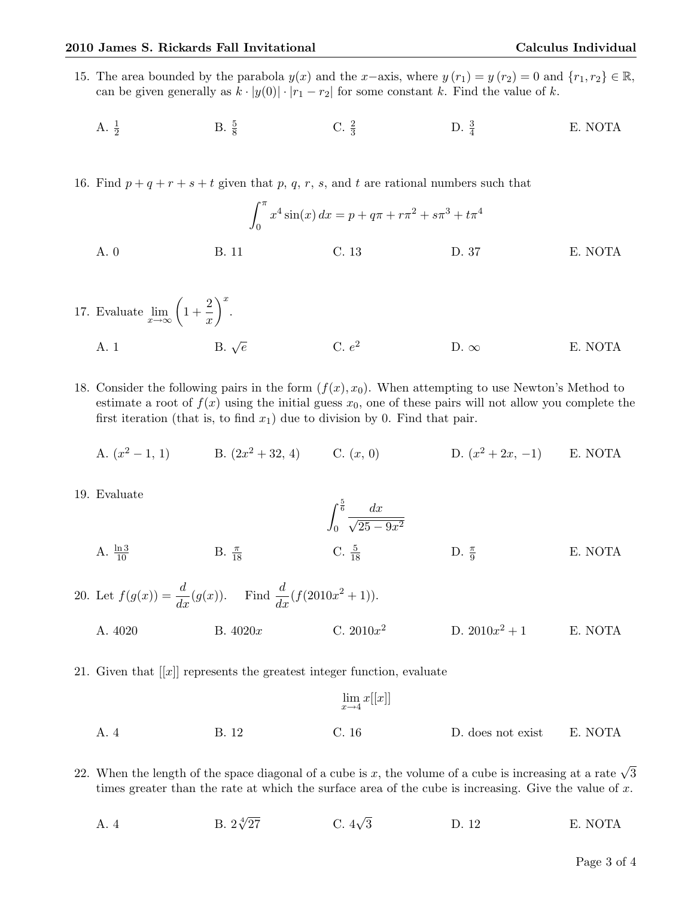- 15. The area bounded by the parabola  $y(x)$  and the x-axis, where  $y(r_1) = y(r_2) = 0$  and  $\{r_1, r_2\} \in \mathbb{R}$ , can be given generally as  $k \cdot |y(0)| \cdot |r_1 - r_2|$  for some constant k. Find the value of k.
	- A.  $\frac{1}{2}$  $B. \frac{5}{8}$ C.  $\frac{2}{3}$  $\frac{2}{3}$  D.  $\frac{3}{4}$ E. NOTA

16. Find  $p + q + r + s + t$  given that p, q, r, s, and t are rational numbers such that

A. 0 
$$
\int_0^{\pi} x^4 \sin(x) dx = p + q\pi + r\pi^2 + s\pi^3 + t\pi^4
$$
  
B. 11 C. 13 D. 37 E. NOTA

- 17. Evaluate  $\lim_{x \to \infty} \left(1 + \frac{2}{x}\right)$  $\boldsymbol{x}$  $\bigg)$ <sup>x</sup>. A. 1 B.  $\sqrt{e}$ C.  $e^2$  $D. \infty$  E. NOTA
- 18. Consider the following pairs in the form  $(f(x), x_0)$ . When attempting to use Newton's Method to estimate a root of  $f(x)$  using the initial guess  $x_0$ , one of these pairs will not allow you complete the first iteration (that is, to find  $x_1$ ) due to division by 0. Find that pair.
	- A.  $(x^2-1, 1)$  B.  $(2x^2+32, 4)$  C.  $(x, 0)$  D.  $(x)$ D.  $(x^2 + 2x, -1)$  E. NOTA
- 19. Evaluate

A. 
$$
\frac{\ln 3}{10}
$$
 \t B.  $\frac{\pi}{18}$  \t C.  $\frac{5}{18}$  \t D.  $\frac{\pi}{9}$  \t E. NOTA

- 20. Let  $f(g(x)) = \frac{d}{dx}(g(x))$ . Find  $\frac{d}{dx}(f(2010x^2 + 1))$ . A. 4020 B.  $4020x$  C.  $2010x^2$ D.  $2010x^2 + 1$ E. NOTA
- 21. Given that  $[[x]]$  represents the greatest integer function, evaluate

$$
\lim_{x \to 4} x[[x]]
$$

- A. 4 B. 12 C. 16 D. does not exist E. NOTA
- 22. When the length of the space diagonal of a cube is x, the volume of a cube is increasing at a rate  $\sqrt{3}$ times greater than the rate at which the surface area of the cube is increasing. Give the value of  $x$ .
	- A. 4 B.  $2\sqrt[4]{27}$ C.  $4\sqrt{3}$ D. 12 E. NOTA